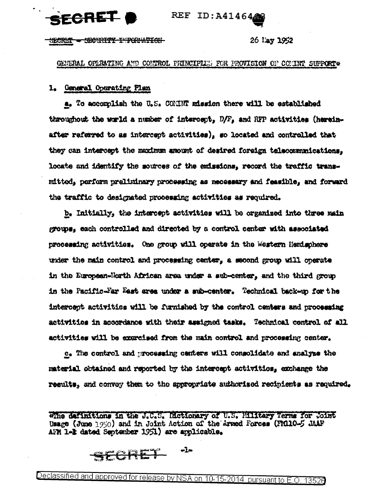SECRET

REF ID: A41464

<del>SECURITY INTOURITION</del> 525RE7

## 26 lay 1952

GENERAL OPERATING AND CONTROL PRINCIPILES FOR PROVISION OF COMINT SUPPORT \*

#### 1. General Operating Plan

a. To accomplish the U.S. CONINT mission there will be established throughout the world a number of intercept,  $D/F_a$  and RFP activities (hereinafter referred to as intercept activities), so located and controlled that they can intercept the maximum amount of desired foreign telecommunications. locate and identify the sources of the enissions, record the traffic transmitted, perform preliminary processing as necessary and feasible, and forward the traffic to designated processing activities as required.

b. Initially, the intercept activities will be organized into three main groups, each controlled and directed by a control center with associated processing activities. One group will operate in the Western Hemisphere under the main control and processing center, a second group will operate in the European-Horth African area under a sub-center, and the third group in the Pacific-Far East area under a sub-center. Technical back-up for the intercept activities will be furnished by the control centers and processing activities in accordance with their assigned tasks. Technical centrol of all activities will be exercised from the main control and processing center.

c. The control and processing centers will consolidate and analyze the material obtained and reported by the intercept activities, exchange the results, and convey them to the appropriate authorized recipients as required.

whe definitions in the J.C.S. Mctionary of U.S. Military Terms for Joint Usage (June  $1950$ ) and in Joint Action of the Armed Forces (FM110-5 JAAF AFM 1-2 dated September 1951) are applicable.

 $-1$ SECRET

Declassified and approved for release by NSA on 10-15-2014 pursuant to E.O. 13526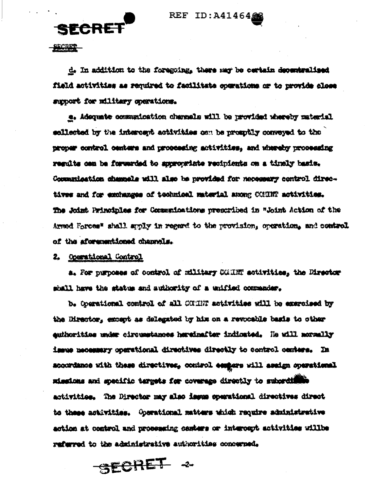REF ID:A41464

SECRET

SECRET

d. In addition to the foregoing, there may be certain decembralised field activities as required to facilitate commutions or to provide close support for military operations.

e. Adequate communication channels will be provided whereby material sollected by the intercept activities can be promptly conveyed to the proper control centers and proceeding activities, and whereby proceeding regults can be forwarded to sporowriste recipients on a timely basis. Commanisation champels will also be provided for necessary control directives and for exchanges of technical material among CONINT activities. The Joint Principles for Communications prescribed in "Joint Action of the Armed Forces" shall apply in regard to the provision, operation, and control of the aforementioned channels.

2. Operational Control

a. For purposes of control of military CGHRT activities, the Director shall have the status and authority of a unified commander.

b. Operational control of all COUNT sotivities will be exercised by the Director, except as delegated by him on a revocable basis to other euthorities under circumstances hereinafter indicated. He will mormally issue necessary operational directives directly to control centers. In scoordance with these directives, control essears will assign operational missions and specific tergets for coverage directly to subordiffic activities. The Director may also impus operational directives direct to these activities. Operational matters which require administrative action at control and processing centers or intercept activities willbe referred to the administrative authorities concerned.

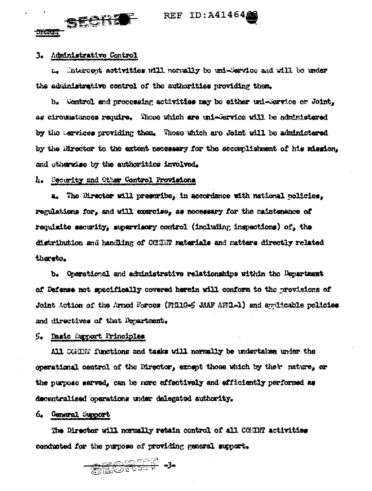# REF ID: A414646

# 3. Administrative Control

57.613.

SECRE

Intercept activities will normally be uni-Service and will be under 在 the administrative control of the authorities providing them.

b. Control and processing activities may be sither uni-Service or Joint. as circumstances require. Those which are uni-Service will be administered by the Dervices providing them. Those which are Joint will be administered by the litrector to the extent necessary for the accordishment of his mission. and otherwise by the authorities involved.

4. Security and Other Control Provisions

a. The Director will prescribe, in accordance with national policies, regulations for, and will exercise, as necessary for the maintenance of requisite security, supervisory control (including inspections) of, the distribution and handling of CONNT materials and matters directly related thereto.

b. Operational and administrative relationships within the Department of Defense not specifically covered herein will conform to the provisions of Joint Action of the Armod Forces (FM110-5 JAAP AFM1-1) and applicable policies and directives of that Dopartment.

5. Basic Support Principles

All CGHNT functions and tasks will normally be undertaken under the operational control of the Director, except those which by their nature, or the purpose sarved, can be more effectively and efficiently performed as decentralized operations under delegated authority.

# 6. General Support

The Director will normally retain control of all COMIN activities conducted for the purpose of providing general support.

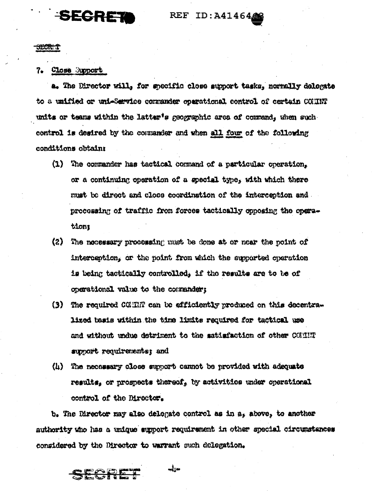# SECRET

REF ID:A41464

**SECRET** 

#### 7. Close Support

a. The Director will, for specific close support tasks, normally delegate to a unified or uni-Sarvice commander oparational control of certain COHNT units or teams within the latter's geographic area of command, when such control is desired by the commander and when all four of the following conditions obtain:

- (1) The commander has tactical command of a particular operation. or a continuing operation of a special type. with which there must be direct and close coordination of the interception and. processing of traffic from forces tactically conosing the operationt
- (2) The nocessary processing must be done at or near the point of interception, or the point from which the supported operation is being tactically controlled. if the results are to be of operational value to the commander:
- (3) The required CCMM can be efficiently produced on this decentralized basis within the time limits required for tactical use and without undue detriment to the satisfaction of other COUNT support requirements; and
- (h) The necessary close support cannot be provided with adequate results, or prospects thereof, by activities under operational control of the Director.

b. The Director may also delegate control as in a, above, to another authority who has a unique support requirement in other special circumstances considered by the Director to warrant such delegation.

 $\frac{1}{2}$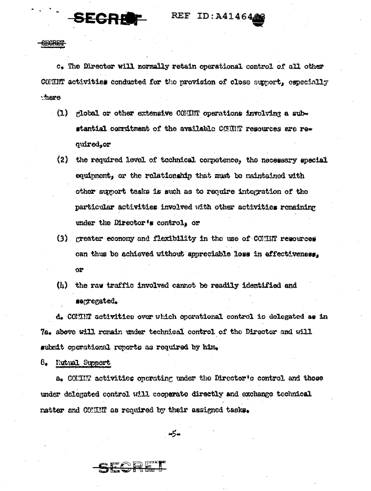REF ID: A4146466

**CECRET** 

SECRE

c. The Director will normally retain operational control of all other COMINT activities conducted for the provision of close support, especially there

- $(1)$ global or other extensive COMMT operations involving a substantial commitment of the available COMMT repources are required, or
- (2) the required level of technical corpotence, the necessary special equipment, or the relationship that must be naintained with other sumort tasks is such as to require integration of the particular activities involved with other activities remaining under the Director's control, or
- (3) greater economy and flexibility in the use of COMIN resources can thus be achieved without appreciable loss in effectiveness. Or.
- (4) the raw traffic involved cannot be readily identified and segrenated.

d. COMMT activities over which operational control is delegated as in 7a. above will remain under technical control of the Director and will submit operational reports as required by him.

8. Nutual Support

a. COMINT activities operating under the Director's control and those under delegated control will cooperate directly and exchange technical natter and COMMNNNN os required by their assigned tasks.

 $-5 -$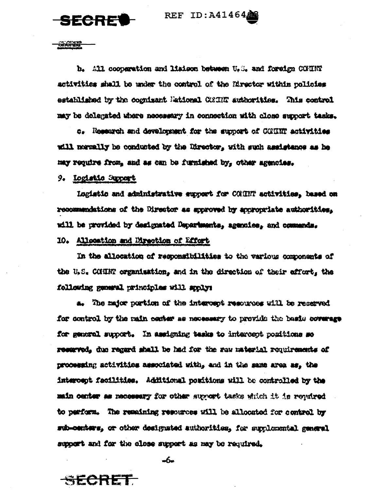**REF ID:A4146468** 



<del>aicnir</del>

b. All cooperation and liabson between U.S. and foreign COUNT activities shall be under the control of the Director within policies established by the cognizant National CONNR authorities. This control may be delegated where necessary in connection with close support tesks.

c. Research and development for the support of CONINT activities will normally be conducted by the Director, with such assistance as he may require from, and as can be furnished by, other agencies.

9. Logistic Support

Logistic and administrative support for COMINT activities, based on recommendations of the Director as sporoved by appropriate authorities. will be provided by designated Departments, agentics, and commands.

#### 10. Allocation and Direction of Effort

In the allocation of responsibilities to the various components of the U.S. CONINT organisation, and in the direction of their effort, the following general principles will spoly:

a. The major portion of the intercept resources will be reserved for control by the main contex as necessary to provide the basis coverage for general support. In assigning tesks to intercept popitions so reserved, due regard shall be had for the raw material requirements of processing activities associated with, and in the same area as, the intercept facilities. Additional poritions will be controlled by the main center as necessary for other support tasks which it is required to perform. The remaining resources will be allocated for control by sub-centers, or other designated authorities, for supplemental general support and for the close support as may be required.

 $-6$